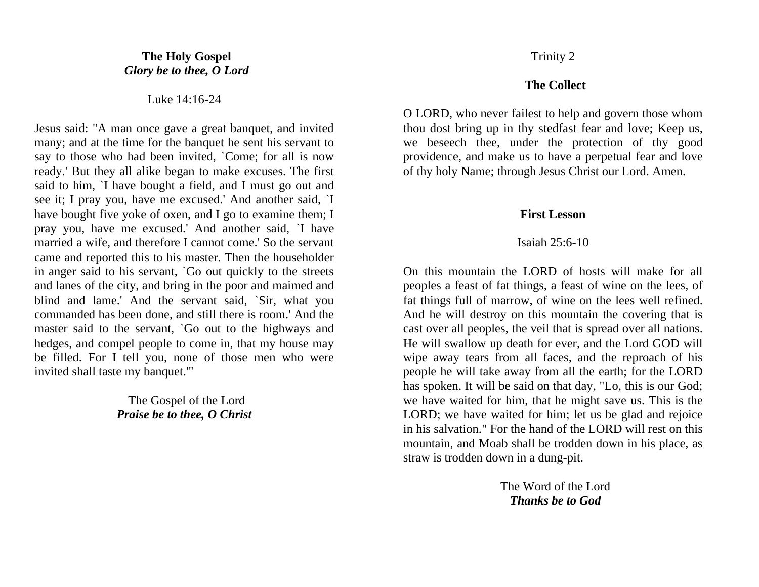# **The Holy Gospel** *Glory be to thee, O Lord*

Luke 14:16-24

Jesus said: "A man once gave a great banquet, and invited many; and at the time for the banquet he sent his servant to say to those who had been invited, `Come; for all is now ready.' But they all alike began to make excuses. The first said to him, `I have bought a field, and I must go out and see it; I pray you, have me excused.' And another said, `I have bought five yoke of oxen, and I go to examine them; I pray you, have me excused.' And another said, `I have married a wife, and therefore I cannot come.' So the servant came and reported this to his master. Then the householder in anger said to his servant, `Go out quickly to the streets and lanes of the city, and bring in the poor and maimed and blind and lame.' And the servant said, `Sir, what you commanded has been done, and still there is room.' And the master said to the servant, `Go out to the highways and hedges, and compel people to come in, that my house may be filled. For I tell you, none of those men who were invited shall taste my banquet.'"

> The Gospel of the Lord *Praise be to thee, O Christ*

## Trinity 2

## **The Collect**

O LORD, who never failest to help and govern those whom thou dost bring up in thy stedfast fear and love; Keep us, we beseech thee, under the protection of thy good providence, and make us to have a perpetual fear and love of thy holy Name; through Jesus Christ our Lord. Amen.

## **First Lesson**

#### Isaiah 25:6-10

On this mountain the LORD of hosts will make for all peoples a feast of fat things, a feast of wine on the lees, of fat things full of marrow, of wine on the lees well refined. And he will destroy on this mountain the covering that is cast over all peoples, the veil that is spread over all nations. He will swallow up death for ever, and the Lord GOD will wipe away tears from all faces, and the reproach of his people he will take away from all the earth; for the LORD has spoken. It will be said on that day, "Lo, this is our God; we have waited for him, that he might save us. This is the LORD; we have waited for him; let us be glad and rejoice in his salvation." For the hand of the LORD will rest on this mountain, and Moab shall be trodden down in his place, as straw is trodden down in a dung-pit.

> The Word of the Lord *Thanks be to God*